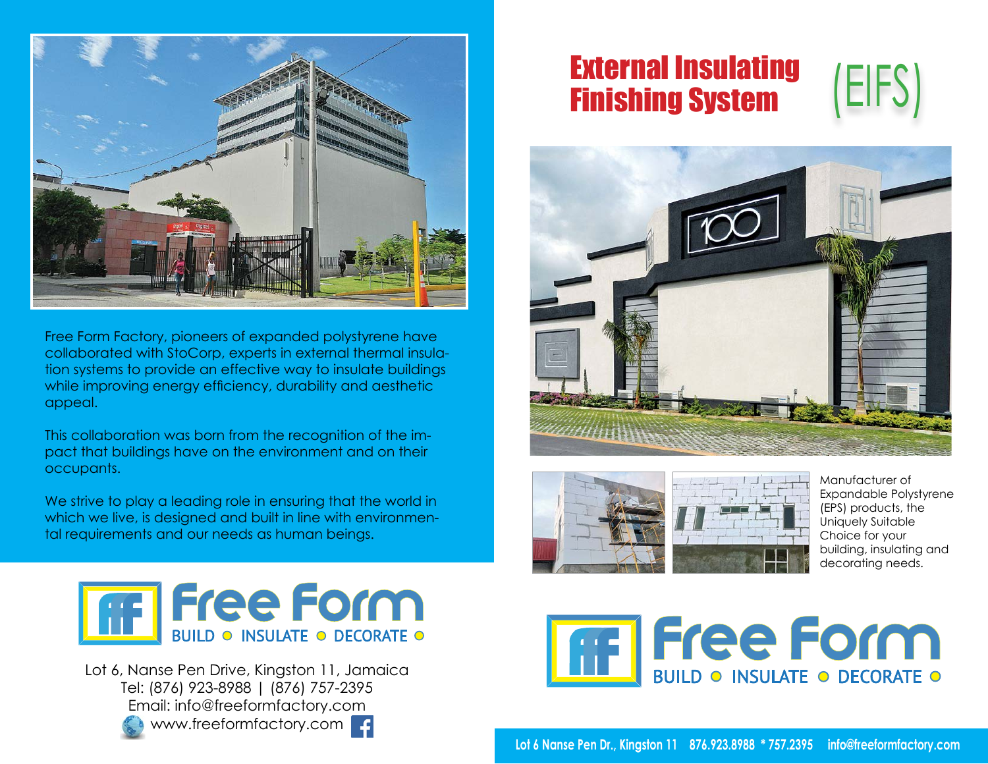

Free Form Factory, pioneers of expanded polystyrene have collaborated with StoCorp, experts in external thermal insulation systems to provide an effective way to insulate buildings while improving energy efficiency, durability and aesthetic appeal.

This collaboration was born from the recognition of the impact that buildings have on the environment and on their occupants.

We strive to play a leading role in ensuring that the world in which we live, is designed and built in line with environmental requirements and our needs as human beings.



Lot 6, Nanse Pen Drive, Kingston 11, Jamaica Tel: (876) 923-8988 | (876) 757-2395 Email: info@freeformfactory.com www.freeformfactory.com

# External Insulating Finishing System







Manufacturer of Expandable Polystyrene (EPS) products, the Uniquely Suitable Choice for your building, insulating and decorating needs.



**Lot 6 Nanse Pen Dr., Kingston 11 876.923.8988 \* 757.2395 info@freeformfactory.com**